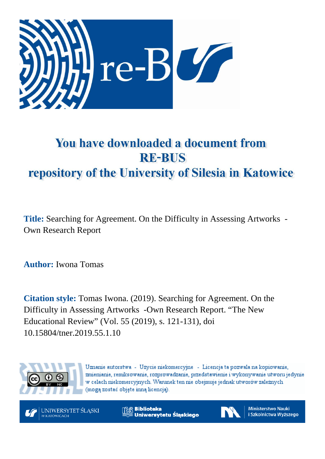

# You have downloaded a document from **RE-BUS** repository of the University of Silesia in Katowice

**Title:** Searching for Agreement. On the Difficulty in Assessing Artworks - Own Research Report

**Author:** Iwona Tomas

**Citation style:** Tomas Iwona. (2019). Searching for Agreement. On the Difficulty in Assessing Artworks -Own Research Report. "The New Educational Review" (Vol. 55 (2019), s. 121-131), doi 10.15804/tner.2019.55.1.10



Uznanie autorstwa - Użycie niekomercyjne - Licencja ta pozwala na kopiowanie, zmienianie, remiksowanie, rozprowadzanie, przedstawienie i wykonywanie utworu jedynie w celach niekomercyjnych. Warunek ten nie obejmuje jednak utworów zależnych (mogą zostać objęte inną licencją).



**Biblioteka** Uniwersytetu Śląskiego



**Ministerstwo Nauki** i Szkolnictwa Wyższego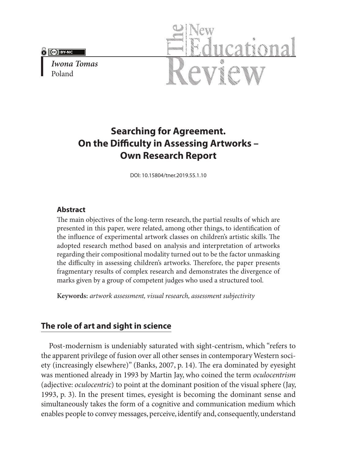**A Cel BYENC** 

*Iwona Tomas* Poland



## **Searching for Agreement. On the Difficulty in Assessing Artworks – Own Research Report**

DOI: 10.15804/tner.2019.55.1.10

#### **Abstract**

The main objectives of the long-term research, the partial results of which are presented in this paper, were related, among other things, to identification of the influence of experimental artwork classes on children's artistic skills. The adopted research method based on analysis and interpretation of artworks regarding their compositional modality turned out to be the factor unmasking the difficulty in assessing children's artworks. Therefore, the paper presents fragmentary results of complex research and demonstrates the divergence of marks given by a group of competent judges who used a structured tool.

**Keywords:** *artwork assessment, visual research, assessment subjectivity*

### **The role of art and sight in science**

Post-modernism is undeniably saturated with sight-centrism, which "refers to the apparent privilege of fusion over all other senses in contemporary Western society (increasingly elsewhere)" (Banks, 2007, p. 14). The era dominated by eyesight was mentioned already in 1993 by Martin Jay, who coined the term *oculocentrism* (adjective: *oculocentric*) to point at the dominant position of the visual sphere (Jay, 1993, p. 3). In the present times, eyesight is becoming the dominant sense and simultaneously takes the form of a cognitive and communication medium which enables people to convey messages, perceive, identify and, consequently, understand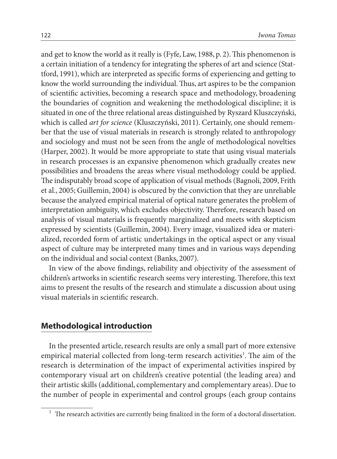and get to know the world as it really is (Fyfe, Law, 1988, p. 2). This phenomenon is a certain initiation of a tendency for integrating the spheres of art and science (Stattford, 1991), which are interpreted as specific forms of experiencing and getting to know the world surrounding the individual. Thus, art aspires to be the companion of scientific activities, becoming a research space and methodology, broadening the boundaries of cognition and weakening the methodological discipline; it is situated in one of the three relational areas distinguished by Ryszard Kluszczyński, which is called *art for science* (Kluszczyński, 2011). Certainly, one should remember that the use of visual materials in research is strongly related to anthropology and sociology and must not be seen from the angle of methodological novelties (Harper, 2002). It would be more appropriate to state that using visual materials in research processes is an expansive phenomenon which gradually creates new possibilities and broadens the areas where visual methodology could be applied. The indisputably broad scope of application of visual methods (Bagnoli, 2009, Frith et al., 2005; Guillemin, 2004) is obscured by the conviction that they are unreliable because the analyzed empirical material of optical nature generates the problem of interpretation ambiguity, which excludes objectivity. Therefore, research based on analysis of visual materials is frequently marginalized and meets with skepticism expressed by scientists (Guillemin, 2004). Every image, visualized idea or materialized, recorded form of artistic undertakings in the optical aspect or any visual aspect of culture may be interpreted many times and in various ways depending on the individual and social context (Banks, 2007).

In view of the above findings, reliability and objectivity of the assessment of children's artworks in scientific research seems very interesting. Therefore, this text aims to present the results of the research and stimulate a discussion about using visual materials in scientific research.

#### **Methodological introduction**

In the presented article, research results are only a small part of more extensive empirical material collected from long-term research activities<sup>1</sup>. The aim of the research is determination of the impact of experimental activities inspired by contemporary visual art on children's creative potential (the leading area) and their artistic skills (additional, complementary and complementary areas). Due to the number of people in experimental and control groups (each group contains

 $^\mathrm{1}\,$  The research activities are currently being finalized in the form of a doctoral dissertation.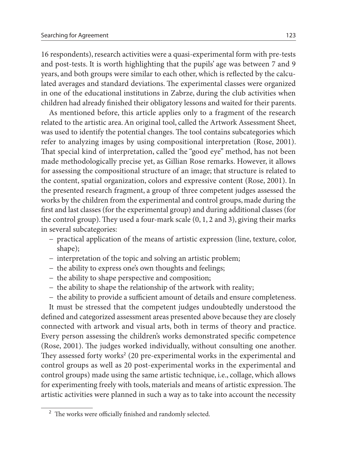16 respondents), research activities were a quasi-experimental form with pre-tests and post-tests. It is worth highlighting that the pupils' age was between 7 and 9 years, and both groups were similar to each other, which is reflected by the calculated averages and standard deviations. The experimental classes were organized in one of the educational institutions in Zabrze, during the club activities when children had already finished their obligatory lessons and waited for their parents.

As mentioned before, this article applies only to a fragment of the research related to the artistic area. An original tool, called the Artwork Assessment Sheet, was used to identify the potential changes. The tool contains subcategories which refer to analyzing images by using compositional interpretation (Rose, 2001). That special kind of interpretation, called the "good eye" method, has not been made methodologically precise yet, as Gillian Rose remarks. However, it allows for assessing the compositional structure of an image; that structure is related to the content, spatial organization, colors and expressive content (Rose, 2001). In the presented research fragment, a group of three competent judges assessed the works by the children from the experimental and control groups, made during the first and last classes (for the experimental group) and during additional classes (for the control group). They used a four-mark scale (0, 1, 2 and 3), giving their marks in several subcategories:

- − practical application of the means of artistic expression (line, texture, color, shape);
- − interpretation of the topic and solving an artistic problem;
- − the ability to express one's own thoughts and feelings;
- − the ability to shape perspective and composition;
- − the ability to shape the relationship of the artwork with reality;
- − the ability to provide a sufficient amount of details and ensure completeness.

It must be stressed that the competent judges undoubtedly understood the defined and categorized assessment areas presented above because they are closely connected with artwork and visual arts, both in terms of theory and practice. Every person assessing the children's works demonstrated specific competence (Rose, 2001). The judges worked individually, without consulting one another. They assessed forty works<sup>2</sup> (20 pre-experimental works in the experimental and control groups as well as 20 post-experimental works in the experimental and control groups) made using the same artistic technique, i.e., collage, which allows for experimenting freely with tools, materials and means of artistic expression. The artistic activities were planned in such a way as to take into account the necessity

<sup>2</sup> The works were officially finished and randomly selected.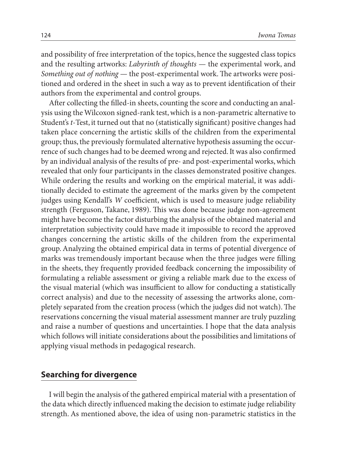and possibility of free interpretation of the topics, hence the suggested class topics and the resulting artworks: *Labyrinth of thoughts* — the experimental work, and *Something out of nothing* — the post-experimental work. The artworks were positioned and ordered in the sheet in such a way as to prevent identification of their authors from the experimental and control groups.

After collecting the filled-in sheets, counting the score and conducting an analysis using the Wilcoxon signed-rank test, which is a non-parametric alternative to Student's *t*-Test, it turned out that no (statistically significant) positive changes had taken place concerning the artistic skills of the children from the experimental group; thus, the previously formulated alternative hypothesis assuming the occurrence of such changes had to be deemed wrong and rejected. It was also confirmed by an individual analysis of the results of pre- and post-experimental works, which revealed that only four participants in the classes demonstrated positive changes. While ordering the results and working on the empirical material, it was additionally decided to estimate the agreement of the marks given by the competent judges using Kendall's *W* coefficient, which is used to measure judge reliability strength (Ferguson, Takane, 1989). This was done because judge non-agreement might have become the factor disturbing the analysis of the obtained material and interpretation subjectivity could have made it impossible to record the approved changes concerning the artistic skills of the children from the experimental group. Analyzing the obtained empirical data in terms of potential divergence of marks was tremendously important because when the three judges were filling in the sheets, they frequently provided feedback concerning the impossibility of formulating a reliable assessment or giving a reliable mark due to the excess of the visual material (which was insufficient to allow for conducting a statistically correct analysis) and due to the necessity of assessing the artworks alone, completely separated from the creation process (which the judges did not watch). The reservations concerning the visual material assessment manner are truly puzzling and raise a number of questions and uncertainties. I hope that the data analysis which follows will initiate considerations about the possibilities and limitations of applying visual methods in pedagogical research.

#### **Searching for divergence**

I will begin the analysis of the gathered empirical material with a presentation of the data which directly influenced making the decision to estimate judge reliability strength. As mentioned above, the idea of using non-parametric statistics in the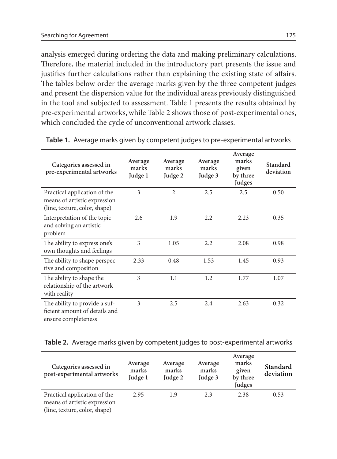analysis emerged during ordering the data and making preliminary calculations. Therefore, the material included in the introductory part presents the issue and justifies further calculations rather than explaining the existing state of affairs. The tables below order the average marks given by the three competent judges and present the dispersion value for the individual areas previously distinguished in the tool and subjected to assessment. Table 1 presents the results obtained by pre-experimental artworks, while Table 2 shows those of post-experimental ones, which concluded the cycle of unconventional artwork classes.

| Categories assessed in<br>pre-experimental artworks                                           | Average<br>marks<br>Judge 1 | Average<br>marks<br>Judge 2 | Average<br>marks<br>Judge 3 | Average<br>marks<br>given<br>by three<br>Judges | Standard<br>deviation |
|-----------------------------------------------------------------------------------------------|-----------------------------|-----------------------------|-----------------------------|-------------------------------------------------|-----------------------|
| Practical application of the<br>means of artistic expression<br>(line, texture, color, shape) | 3                           | $\overline{2}$              | 2.5                         | 2.5                                             | 0.50                  |
| Interpretation of the topic<br>and solving an artistic<br>problem                             | 2.6                         | 1.9                         | 2.2                         | 2.23                                            | 0.35                  |
| The ability to express one's<br>own thoughts and feelings                                     | 3                           | 1.05                        | 2.2                         | 2.08                                            | 0.98                  |
| The ability to shape perspec-<br>tive and composition                                         | 2.33                        | 0.48                        | 1.53                        | 1.45                                            | 0.93                  |
| The ability to shape the<br>relationship of the artwork<br>with reality                       | 3                           | 1.1                         | 1.2.                        | 1.77                                            | 1.07                  |
| The ability to provide a suf-<br>ficient amount of details and<br>ensure completeness         | 3                           | 2.5                         | 2.4                         | 2.63                                            | 0.32                  |

**Table 1.** Average marks given by competent judges to pre-experimental artworks

**Table 2.** Average marks given by competent judges to post-experimental artworks

| Categories assessed in<br>post-experimental artworks                                          | Average<br>marks<br>Judge 1 | Average<br>marks<br>Judge 2 | Average<br>marks<br>Judge 3 | Average<br>marks<br>given<br>by three<br>Judges | Standard<br>deviation |
|-----------------------------------------------------------------------------------------------|-----------------------------|-----------------------------|-----------------------------|-------------------------------------------------|-----------------------|
| Practical application of the<br>means of artistic expression<br>(line, texture, color, shape) | 2.95                        | 1.9                         | 23                          | 2.38                                            | 0.53                  |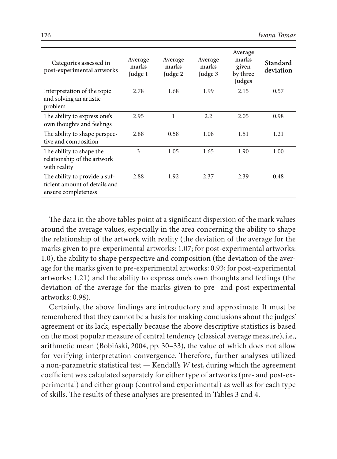| Categories assessed in<br>post-experimental artworks                                  | Average<br>marks<br>Judge 1 | Average<br>marks<br>Judge 2 | Average<br>marks<br>Judge 3 | Average<br>marks<br>given<br>by three<br>Judges | Standard<br>deviation |
|---------------------------------------------------------------------------------------|-----------------------------|-----------------------------|-----------------------------|-------------------------------------------------|-----------------------|
| Interpretation of the topic<br>and solving an artistic<br>problem                     | 2.78                        | 1.68                        | 1.99                        | 2.15                                            | 0.57                  |
| The ability to express one's<br>own thoughts and feelings                             | 2.95                        | 1                           | 2.2                         | 2.05                                            | 0.98                  |
| The ability to shape perspec-<br>tive and composition                                 | 2.88                        | 0.58                        | 1.08                        | 1.51                                            | 1.21                  |
| The ability to shape the<br>relationship of the artwork<br>with reality               | 3                           | 1.05                        | 1.65                        | 1.90                                            | 1.00                  |
| The ability to provide a suf-<br>ficient amount of details and<br>ensure completeness | 2.88                        | 1.92                        | 2.37                        | 2.39                                            | 0.48                  |

The data in the above tables point at a significant dispersion of the mark values around the average values, especially in the area concerning the ability to shape the relationship of the artwork with reality (the deviation of the average for the marks given to pre-experimental artworks: 1.07; for post-experimental artworks: 1.0), the ability to shape perspective and composition (the deviation of the average for the marks given to pre-experimental artworks: 0.93; for post-experimental artworks: 1.21) and the ability to express one's own thoughts and feelings (the deviation of the average for the marks given to pre- and post-experimental artworks: 0.98).

Certainly, the above findings are introductory and approximate. It must be remembered that they cannot be a basis for making conclusions about the judges' agreement or its lack, especially because the above descriptive statistics is based on the most popular measure of central tendency (classical average measure), i.e., arithmetic mean (Bobiński, 2004, pp. 30–33), the value of which does not allow for verifying interpretation convergence. Therefore, further analyses utilized a non-parametric statistical test — Kendall's *W* test, during which the agreement coefficient was calculated separately for either type of artworks (pre- and post-experimental) and either group (control and experimental) as well as for each type of skills. The results of these analyses are presented in Tables 3 and 4.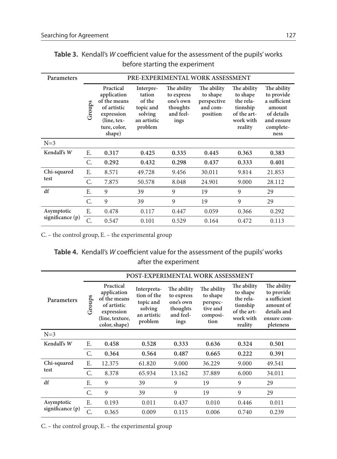| Parameters       | PRE-EXPERIMENTAL WORK ASSESSMENT |                                                                                                                   |                                                                                 |                                                                         |                                                                |                                                                                         |                                                                                                      |
|------------------|----------------------------------|-------------------------------------------------------------------------------------------------------------------|---------------------------------------------------------------------------------|-------------------------------------------------------------------------|----------------------------------------------------------------|-----------------------------------------------------------------------------------------|------------------------------------------------------------------------------------------------------|
|                  | Groups                           | Practical<br>application<br>of the means<br>of artistic<br>expression<br>$(line, text-$<br>ture, color,<br>shape) | Interpre-<br>tation<br>of the<br>topic and<br>solving<br>an artistic<br>problem | The ability<br>to express<br>one's own<br>thoughts<br>and feel-<br>ings | The ability<br>to shape<br>perspective<br>and com-<br>position | The ability<br>to shape<br>the rela-<br>tionship<br>of the art-<br>work with<br>reality | The ability<br>to provide<br>a sufficient<br>amount<br>of details<br>and ensure<br>complete-<br>ness |
| $N=3$            |                                  |                                                                                                                   |                                                                                 |                                                                         |                                                                |                                                                                         |                                                                                                      |
| Kendall's W      | Ε.                               | 0.317                                                                                                             | 0.425                                                                           | 0.335                                                                   | 0.445                                                          | 0.363                                                                                   | 0.383                                                                                                |
|                  | C.                               | 0.292                                                                                                             | 0.432                                                                           | 0.298                                                                   | 0.437                                                          | 0.333                                                                                   | 0.401                                                                                                |
| Chi-squared      | Ε.                               | 8.571                                                                                                             | 49.728                                                                          | 9.456                                                                   | 30.011                                                         | 9.814                                                                                   | 21.853                                                                                               |
| test             | C.                               | 7.875                                                                                                             | 50.578                                                                          | 8.048                                                                   | 24.901                                                         | 9.000                                                                                   | 28.112                                                                                               |
| df               | Ε.                               | 9                                                                                                                 | 39                                                                              | 9                                                                       | 19                                                             | 9                                                                                       | 29                                                                                                   |
|                  | C.                               | 9                                                                                                                 | 39                                                                              | 9                                                                       | 19                                                             | 9                                                                                       | 29                                                                                                   |
| Asymptotic       | Ε.                               | 0.478                                                                                                             | 0.117                                                                           | 0.447                                                                   | 0.059                                                          | 0.366                                                                                   | 0.292                                                                                                |
| significance (p) | C.                               | 0.547                                                                                                             | 0.101                                                                           | 0.529                                                                   | 0.164                                                          | 0.472                                                                                   | 0.113                                                                                                |

**Table 3.** Kendall's *W* coefficient value for the assessment of the pupils' works before starting the experiment

C. – the control group, E. – the experimental group

#### **Table 4.** Kendall's *W* coefficient value for the assessment of the pupils' works after the experiment

|                    |             |                                                                                                           | POST-EXPERIMENTAL WORK ASSESSMENT                                            |                                                                         |                                                                     |                                                                                         |                                                                                                   |
|--------------------|-------------|-----------------------------------------------------------------------------------------------------------|------------------------------------------------------------------------------|-------------------------------------------------------------------------|---------------------------------------------------------------------|-----------------------------------------------------------------------------------------|---------------------------------------------------------------------------------------------------|
| <b>Parameters</b>  | Groups      | Practical<br>application<br>of the means<br>of artistic<br>expression<br>(line, texture,<br>color, shape) | Interpreta-<br>tion of the<br>topic and<br>solving<br>an artistic<br>problem | The ability<br>to express<br>one's own<br>thoughts<br>and feel-<br>ings | The ability<br>to shape<br>perspec-<br>tive and<br>composi-<br>tion | The ability<br>to shape<br>the rela-<br>tionship<br>of the art-<br>work with<br>reality | The ability<br>to provide<br>a sufficient<br>amount of<br>details and<br>ensure com-<br>pleteness |
| $N=3$              |             |                                                                                                           |                                                                              |                                                                         |                                                                     |                                                                                         |                                                                                                   |
| Kendall's W        | E.          | 0.458                                                                                                     | 0.528                                                                        | 0.333                                                                   | 0.636                                                               | 0.324                                                                                   | 0.501                                                                                             |
|                    | C.          | 0.364                                                                                                     | 0.564                                                                        | 0.487                                                                   | 0.665                                                               | 0.222                                                                                   | 0.391                                                                                             |
| Chi-squared        | Ε.          | 12.375                                                                                                    | 61.820                                                                       | 9.000                                                                   | 36.229                                                              | 9.000                                                                                   | 49.541                                                                                            |
| test               | $C_{\cdot}$ | 8.378                                                                                                     | 65.934                                                                       | 13.162                                                                  | 37.889                                                              | 6.000                                                                                   | 34.011                                                                                            |
| df                 | Ε.          | 9                                                                                                         | 39                                                                           | 9                                                                       | 19                                                                  | 9                                                                                       | 29                                                                                                |
|                    | $C_{\cdot}$ | 9                                                                                                         | 39                                                                           | 9                                                                       | 19                                                                  | $\mathbf Q$                                                                             | 29                                                                                                |
| Asymptotic         | E.          | 0.193                                                                                                     | 0.011                                                                        | 0.437                                                                   | 0.010                                                               | 0.446                                                                                   | 0.011                                                                                             |
| significance $(p)$ | C.          | 0.365                                                                                                     | 0.009                                                                        | 0.115                                                                   | 0.006                                                               | 0.740                                                                                   | 0.239                                                                                             |

C. – the control group, E. – the experimental group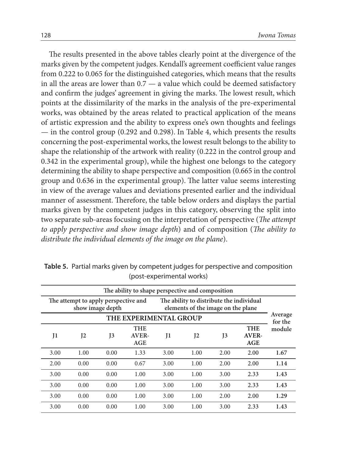The results presented in the above tables clearly point at the divergence of the marks given by the competent judges. Kendall's agreement coefficient value ranges from 0.222 to 0.065 for the distinguished categories, which means that the results in all the areas are lower than  $0.7 - a$  value which could be deemed satisfactory and confirm the judges' agreement in giving the marks. The lowest result, which points at the dissimilarity of the marks in the analysis of the pre-experimental works, was obtained by the areas related to practical application of the means of artistic expression and the ability to express one's own thoughts and feelings — in the control group (0.292 and 0.298). In Table 4, which presents the results concerning the post-experimental works, the lowest result belongs to the ability to shape the relationship of the artwork with reality (0.222 in the control group and 0.342 in the experimental group), while the highest one belongs to the category determining the ability to shape perspective and composition (0.665 in the control group and 0.636 in the experimental group). The latter value seems interesting in view of the average values and deviations presented earlier and the individual manner of assessment. Therefore, the table below orders and displays the partial marks given by the competent judges in this category, observing the split into two separate sub-areas focusing on the interpretation of perspective (*The attempt to apply perspective and show image depth*) and of composition (*The ability to distribute the individual elements of the image on the plane*).

|      |                                      |                  | The ability to shape perspective and composition |                                                                                |      |         |                            |                   |
|------|--------------------------------------|------------------|--------------------------------------------------|--------------------------------------------------------------------------------|------|---------|----------------------------|-------------------|
|      | The attempt to apply perspective and | show image depth |                                                  | The ability to distribute the individual<br>elements of the image on the plane |      |         |                            |                   |
|      | THE EXPERIMENTAL GROUP               |                  |                                                  |                                                                                |      |         |                            |                   |
| J1   | I2                                   | I <sub>3</sub>   | <b>THE</b><br>AVER-<br>AGE                       | J1                                                                             | I2   | $_{13}$ | <b>THE</b><br>AVER-<br>AGE | for the<br>module |
| 3.00 | 1.00                                 | 0.00             | 1.33                                             | 3.00                                                                           | 1.00 | 2.00    | 2.00                       | 1.67              |
| 2.00 | 0.00                                 | 0.00             | 0.67                                             | 3.00                                                                           | 1.00 | 2.00    | 2.00                       | 1.14              |
| 3.00 | 0.00                                 | 0.00             | 1.00                                             | 3.00                                                                           | 1.00 | 3.00    | 2.33                       | 1.43              |
| 3.00 | 0.00                                 | 0.00             | 1.00                                             | 3.00                                                                           | 1.00 | 3.00    | 2.33                       | 1.43              |
| 3.00 | 0.00                                 | 0.00             | 1.00                                             | 3.00                                                                           | 1.00 | 2.00    | 2.00                       | 1.29              |
| 3.00 | 0.00                                 | 0.00             | 1.00                                             | 3.00                                                                           | 1.00 | 3.00    | 2.33                       | 1.43              |

**Table 5.** Partial marks given by competent judges for perspective and composition (post-experimental works)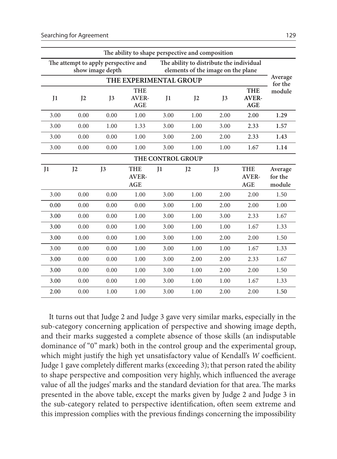| The ability to shape perspective and composition                                                                                           |                |                |                                          |                   |                |                |                                   |                    |
|--------------------------------------------------------------------------------------------------------------------------------------------|----------------|----------------|------------------------------------------|-------------------|----------------|----------------|-----------------------------------|--------------------|
| The ability to distribute the individual<br>The attempt to apply perspective and<br>show image depth<br>elements of the image on the plane |                |                |                                          |                   |                |                |                                   |                    |
|                                                                                                                                            |                |                | THE EXPERIMENTAL GROUP                   |                   |                |                |                                   | Average<br>for the |
| $_{\text{II}}$                                                                                                                             | I <sub>2</sub> | J <sub>3</sub> | <b>THE</b><br><b>AVER-</b><br><b>AGE</b> | $_{\text{I}1}$    | I <sub>2</sub> | J <sub>3</sub> | <b>THE</b><br><b>AVER-</b><br>AGE | module             |
| 3.00                                                                                                                                       | 0.00           | 0.00           | 1.00                                     | 3.00              | 1.00           | 2.00           | 2.00                              | 1.29               |
| 3.00                                                                                                                                       | 0.00           | 1.00           | 1.33                                     | 3.00              | 1.00           | 3.00           | 2.33                              | 1.57               |
| 3.00                                                                                                                                       | 0.00           | 0.00           | 1.00                                     | 3.00              | 2.00           | 2.00           | 2.33                              | 1.43               |
| 3.00                                                                                                                                       | 0.00           | 0.00           | 1.00                                     | 3.00              | 1.00           | 1.00           | 1.67                              | 1.14               |
|                                                                                                                                            |                |                |                                          | THE CONTROL GROUP |                |                |                                   |                    |
| $_{\text{II}}$                                                                                                                             | I <sub>2</sub> | J3             | <b>THE</b><br>AVER-                      | $_{11}$           | I <sub>2</sub> | J <sub>3</sub> | <b>THE</b><br>AVER-               | Average<br>for the |
|                                                                                                                                            |                |                | <b>AGE</b>                               |                   |                |                | <b>AGE</b>                        | module             |
| 3.00                                                                                                                                       | 0.00           | 0.00           | 1.00                                     | 3.00              | 1.00           | 2.00           | 2.00                              | 1.50               |
| 0.00                                                                                                                                       | 0.00           | 0.00           | 0.00                                     | 3.00              | 1.00           | 2.00           | 2.00                              | 1.00               |
| 3.00                                                                                                                                       | 0.00           | 0.00           | 1.00                                     | 3.00              | 1.00           | 3.00           | 2.33                              | 1.67               |
| 3.00                                                                                                                                       | 0.00           | 0.00           | 1.00                                     | 3.00              | 1.00           | 1.00           | 1.67                              | 1.33               |
| 3.00                                                                                                                                       | 0.00           | 0.00           | 1.00                                     | 3.00              | 1.00           | 2.00           | 2.00                              | 1.50               |
| 3.00                                                                                                                                       | 0.00           | 0.00           | 1.00                                     | 3.00              | 1.00           | 1.00           | 1.67                              | 1.33               |
| 3.00                                                                                                                                       | 0.00           | 0.00           | 1.00                                     | 3.00              | 2.00           | 2.00           | 2.33                              | 1.67               |
| 3.00                                                                                                                                       | 0.00           | 0.00           | 1.00                                     | 3.00              | 1.00           | 2.00           | 2.00                              | 1.50               |
| 3.00                                                                                                                                       | 0.00           | 0.00           | 1.00                                     | 3.00              | 1.00           | 1.00           | 1.67                              | 1.33               |

It turns out that Judge 2 and Judge 3 gave very similar marks, especially in the sub-category concerning application of perspective and showing image depth, and their marks suggested a complete absence of those skills (an indisputable dominance of "0" mark) both in the control group and the experimental group, which might justify the high yet unsatisfactory value of Kendall's *W* coefficient. Judge 1 gave completely different marks (exceeding 3); that person rated the ability to shape perspective and composition very highly, which influenced the average value of all the judges' marks and the standard deviation for that area. The marks presented in the above table, except the marks given by Judge 2 and Judge 3 in the sub-category related to perspective identification, often seem extreme and this impression complies with the previous findings concerning the impossibility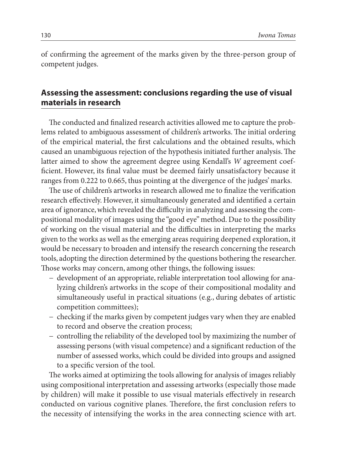of confirming the agreement of the marks given by the three-person group of competent judges.

### **Assessing the assessment: conclusions regarding the use of visual materials in research**

The conducted and finalized research activities allowed me to capture the problems related to ambiguous assessment of children's artworks. The initial ordering of the empirical material, the first calculations and the obtained results, which caused an unambiguous rejection of the hypothesis initiated further analysis. The latter aimed to show the agreement degree using Kendall's *W* agreement coefficient. However, its final value must be deemed fairly unsatisfactory because it ranges from 0.222 to 0.665, thus pointing at the divergence of the judges' marks.

The use of children's artworks in research allowed me to finalize the verification research effectively. However, it simultaneously generated and identified a certain area of ignorance, which revealed the difficulty in analyzing and assessing the compositional modality of images using the "good eye" method. Due to the possibility of working on the visual material and the difficulties in interpreting the marks given to the works as well as the emerging areas requiring deepened exploration, it would be necessary to broaden and intensify the research concerning the research tools, adopting the direction determined by the questions bothering the researcher. Those works may concern, among other things, the following issues:

- − development of an appropriate, reliable interpretation tool allowing for analyzing children's artworks in the scope of their compositional modality and simultaneously useful in practical situations (e.g., during debates of artistic competition committees);
- − checking if the marks given by competent judges vary when they are enabled to record and observe the creation process;
- − controlling the reliability of the developed tool by maximizing the number of assessing persons (with visual competence) and a significant reduction of the number of assessed works, which could be divided into groups and assigned to a specific version of the tool.

The works aimed at optimizing the tools allowing for analysis of images reliably using compositional interpretation and assessing artworks (especially those made by children) will make it possible to use visual materials effectively in research conducted on various cognitive planes. Therefore, the first conclusion refers to the necessity of intensifying the works in the area connecting science with art.